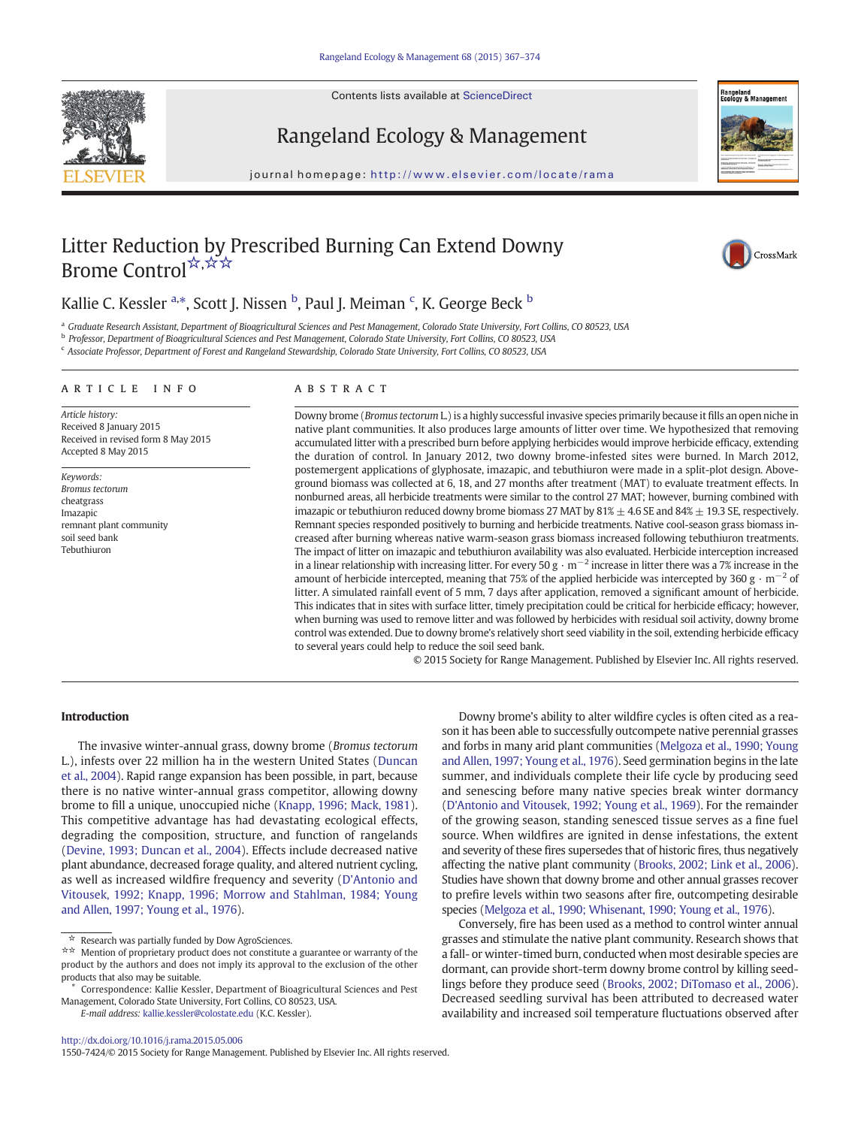Contents lists available at ScienceDirect





## Rangeland Ecology & Management

journal homepage: http://www.elsevier.com/locate/rama

# Litter Reduction by Prescribed Burning Can Extend Downy Brome Control<sup>☆,☆☆</sup>



## Kallie C. Kessler <sup>a,\*</sup>, Scott J. Nissen <sup>b</sup>, Paul J. Meiman <sup>c</sup>, K. George Beck <sup>b</sup>

a Graduate Research Assistant, Department of Bioagricultural Sciences and Pest Management, Colorado State University, Fort Collins, CO 80523, USA

<sup>b</sup> Professor, Department of Bioagricultural Sciences and Pest Management, Colorado State University, Fort Collins, CO 80523, USA

<sup>c</sup> Associate Professor, Department of Forest and Rangeland Stewardship, Colorado State University, Fort Collins, CO 80523, USA

#### article info abstract

Article history: Received 8 January 2015 Received in revised form 8 May 2015 Accepted 8 May 2015

Keywords: Bromus tectorum cheatgrass Imazapic remnant plant community soil seed bank Tebuthiuron

Downy brome (Bromus tectorum L.) is a highly successful invasive species primarily because it fills an open niche in native plant communities. It also produces large amounts of litter over time. We hypothesized that removing accumulated litter with a prescribed burn before applying herbicides would improve herbicide efficacy, extending the duration of control. In January 2012, two downy brome-infested sites were burned. In March 2012, postemergent applications of glyphosate, imazapic, and tebuthiuron were made in a split-plot design. Aboveground biomass was collected at 6, 18, and 27 months after treatment (MAT) to evaluate treatment effects. In nonburned areas, all herbicide treatments were similar to the control 27 MAT; however, burning combined with imazapic or tebuthiuron reduced downy brome biomass 27 MAT by 81%  $\pm$  4.6 SE and 84%  $\pm$  19.3 SE, respectively. Remnant species responded positively to burning and herbicide treatments. Native cool-season grass biomass increased after burning whereas native warm-season grass biomass increased following tebuthiuron treatments. The impact of litter on imazapic and tebuthiuron availability was also evaluated. Herbicide interception increased in a linear relationship with increasing litter. For every 50 g  $\cdot$  m<sup>-2</sup> increase in litter there was a 7% increase in the amount of herbicide intercepted, meaning that 75% of the applied herbicide was intercepted by 360 g  $\cdot$  m<sup>-2</sup> of litter. A simulated rainfall event of 5 mm, 7 days after application, removed a significant amount of herbicide. This indicates that in sites with surface litter, timely precipitation could be critical for herbicide efficacy; however, when burning was used to remove litter and was followed by herbicides with residual soil activity, downy brome control was extended. Due to downy brome's relatively short seed viability in the soil, extending herbicide efficacy to several years could help to reduce the soil seed bank.

© 2015 Society for Range Management. Published by Elsevier Inc. All rights reserved.

### Introduction

The invasive winter-annual grass, downy brome (Bromus tectorum L.), infests over 22 million ha in the western United States [\(Duncan](#page-6-0) [et al., 2004\)](#page-6-0). Rapid range expansion has been possible, in part, because there is no native winter-annual grass competitor, allowing downy brome to fill a unique, unoccupied niche [\(Knapp, 1996; Mack, 1981\)](#page-6-0). This competitive advantage has had devastating ecological effects, degrading the composition, structure, and function of rangelands ([Devine, 1993; Duncan et al., 2004\)](#page-6-0). Effects include decreased native plant abundance, decreased forage quality, and altered nutrient cycling, as well as increased wildfire frequency and severity [\(D'Antonio and](#page-6-0) [Vitousek, 1992; Knapp, 1996; Morrow and Stahlman, 1984; Young](#page-6-0) [and Allen, 1997; Young et al., 1976\)](#page-6-0).

E-mail address: [kallie.kessler@colostate.edu](mailto:kallie.kessler@colostate.edu) (K.C. Kessler).

Downy brome's ability to alter wildfire cycles is often cited as a reason it has been able to successfully outcompete native perennial grasses and forbs in many arid plant communities ([Melgoza et al., 1990; Young](#page-6-0) [and Allen, 1997; Young et al., 1976](#page-6-0)). Seed germination begins in the late summer, and individuals complete their life cycle by producing seed and senescing before many native species break winter dormancy ([D'Antonio and Vitousek, 1992; Young et al., 1969\)](#page-6-0). For the remainder of the growing season, standing senesced tissue serves as a fine fuel source. When wildfires are ignited in dense infestations, the extent and severity of these fires supersedes that of historic fires, thus negatively affecting the native plant community ([Brooks, 2002; Link et al., 2006\)](#page-6-0). Studies have shown that downy brome and other annual grasses recover to prefire levels within two seasons after fire, outcompeting desirable species [\(Melgoza et al., 1990; Whisenant, 1990; Young et al., 1976](#page-6-0)).

Conversely, fire has been used as a method to control winter annual grasses and stimulate the native plant community. Research shows that a fall- or winter-timed burn, conducted when most desirable species are dormant, can provide short-term downy brome control by killing seedlings before they produce seed ([Brooks, 2002; DiTomaso et al., 2006\)](#page-6-0). Decreased seedling survival has been attributed to decreased water availability and increased soil temperature fluctuations observed after

1550-7424/© 2015 Society for Range Management. Published by Elsevier Inc. All rights reserved.

Research was partially funded by Dow AgroSciences.

<sup>☆☆</sup> Mention of proprietary product does not constitute a guarantee or warranty of the product by the authors and does not imply its approval to the exclusion of the other products that also may be suitable.

<sup>⁎</sup> Correspondence: Kallie Kessler, Department of Bioagricultural Sciences and Pest Management, Colorado State University, Fort Collins, CO 80523, USA.

<http://dx.doi.org/10.1016/j.rama.2015.05.006>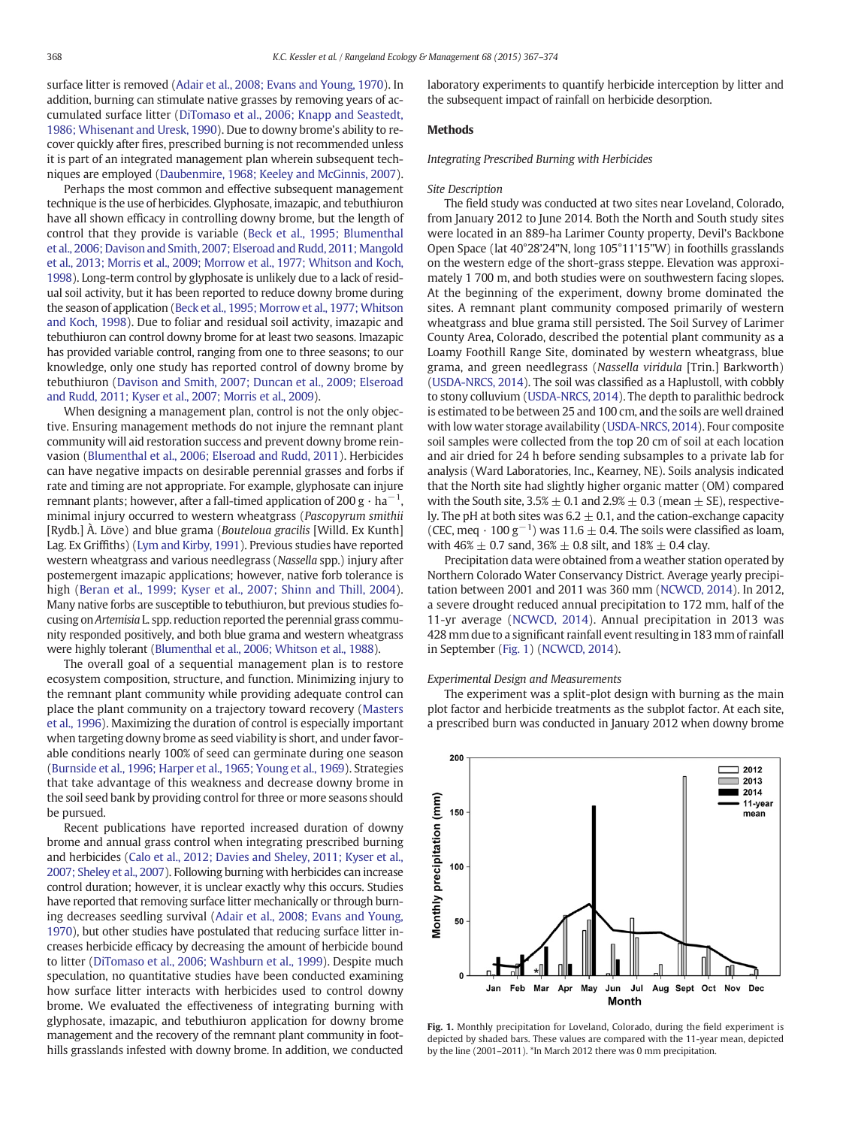<span id="page-1-0"></span>surface litter is removed [\(Adair et al., 2008; Evans and Young, 1970\)](#page-6-0). In addition, burning can stimulate native grasses by removing years of accumulated surface litter [\(DiTomaso et al., 2006; Knapp and Seastedt,](#page-6-0) [1986; Whisenant and Uresk, 1990\)](#page-6-0). Due to downy brome's ability to recover quickly after fires, prescribed burning is not recommended unless it is part of an integrated management plan wherein subsequent techniques are employed ([Daubenmire, 1968; Keeley and McGinnis, 2007\)](#page-6-0).

Perhaps the most common and effective subsequent management technique is the use of herbicides. Glyphosate, imazapic, and tebuthiuron have all shown efficacy in controlling downy brome, but the length of control that they provide is variable ([Beck et al., 1995; Blumenthal](#page-6-0) [et al., 2006; Davison and Smith, 2007;](#page-6-0) Elseroad and Rudd, 2011; Mangold [et al., 2013; Morris et al., 2009; Morrow et al., 1977; Whitson and Koch,](#page-6-0) [1998\)](#page-6-0). Long-term control by glyphosate is unlikely due to a lack of residual soil activity, but it has been reported to reduce downy brome during the season of application [\(Beck et al., 1995; Morrow et al., 1977; Whitson](#page-6-0) [and Koch, 1998](#page-6-0)). Due to foliar and residual soil activity, imazapic and tebuthiuron can control downy brome for at least two seasons. Imazapic has provided variable control, ranging from one to three seasons; to our knowledge, only one study has reported control of downy brome by tebuthiuron [\(Davison and Smith, 2007; Duncan et al., 2009; Elseroad](#page-6-0) [and Rudd, 2011; Kyser et al., 2007; Morris et al., 2009\)](#page-6-0).

When designing a management plan, control is not the only objective. Ensuring management methods do not injure the remnant plant community will aid restoration success and prevent downy brome reinvasion ([Blumenthal et al., 2006; Elseroad and Rudd, 2011\)](#page-6-0). Herbicides can have negative impacts on desirable perennial grasses and forbs if rate and timing are not appropriate. For example, glyphosate can injure remnant plants; however, after a fall-timed application of 200 g  $\cdot$  ha<sup> $-$ </sup> , minimal injury occurred to western wheatgrass (Pascopyrum smithii [Rydb.] À. Löve) and blue grama (Bouteloua gracilis [Willd. Ex Kunth] Lag. Ex Griffiths) [\(Lym and Kirby, 1991\)](#page-6-0). Previous studies have reported western wheatgrass and various needlegrass (Nassella spp.) injury after postemergent imazapic applications; however, native forb tolerance is high [\(Beran et al., 1999; Kyser et al., 2007; Shinn and Thill, 2004\)](#page-6-0). Many native forbs are susceptible to tebuthiuron, but previous studies focusing on Artemisia L. spp. reduction reported the perennial grass community responded positively, and both blue grama and western wheatgrass were highly tolerant [\(Blumenthal et al., 2006; Whitson et al., 1988](#page-6-0)).

The overall goal of a sequential management plan is to restore ecosystem composition, structure, and function. Minimizing injury to the remnant plant community while providing adequate control can place the plant community on a trajectory toward recovery [\(Masters](#page-6-0) [et al., 1996](#page-6-0)). Maximizing the duration of control is especially important when targeting downy brome as seed viability is short, and under favorable conditions nearly 100% of seed can germinate during one season ([Burnside et al., 1996; Harper et al., 1965; Young et al., 1969\)](#page-6-0). Strategies that take advantage of this weakness and decrease downy brome in the soil seed bank by providing control for three or more seasons should be pursued.

Recent publications have reported increased duration of downy brome and annual grass control when integrating prescribed burning and herbicides ([Calo et al., 2012; Davies and Sheley, 2011; Kyser et al.,](#page-6-0) [2007; Sheley et al., 2007\)](#page-6-0). Following burning with herbicides can increase control duration; however, it is unclear exactly why this occurs. Studies have reported that removing surface litter mechanically or through burning decreases seedling survival ([Adair et al., 2008; Evans and Young,](#page-6-0) [1970\)](#page-6-0), but other studies have postulated that reducing surface litter increases herbicide efficacy by decreasing the amount of herbicide bound to litter ([DiTomaso et al., 2006; Washburn et al., 1999](#page-6-0)). Despite much speculation, no quantitative studies have been conducted examining how surface litter interacts with herbicides used to control downy brome. We evaluated the effectiveness of integrating burning with glyphosate, imazapic, and tebuthiuron application for downy brome management and the recovery of the remnant plant community in foothills grasslands infested with downy brome. In addition, we conducted laboratory experiments to quantify herbicide interception by litter and the subsequent impact of rainfall on herbicide desorption.

#### Methods

Integrating Prescribed Burning with Herbicides

#### Site Description

The field study was conducted at two sites near Loveland, Colorado, from January 2012 to June 2014. Both the North and South study sites were located in an 889-ha Larimer County property, Devil's Backbone Open Space (lat 40°28'24"N, long 105°11'15"W) in foothills grasslands on the western edge of the short-grass steppe. Elevation was approximately 1 700 m, and both studies were on southwestern facing slopes. At the beginning of the experiment, downy brome dominated the sites. A remnant plant community composed primarily of western wheatgrass and blue grama still persisted. The Soil Survey of Larimer County Area, Colorado, described the potential plant community as a Loamy Foothill Range Site, dominated by western wheatgrass, blue grama, and green needlegrass (Nassella viridula [Trin.] Barkworth) [\(USDA-NRCS, 2014\)](#page-7-0). The soil was classified as a Haplustoll, with cobbly to stony colluvium ([USDA-NRCS, 2014](#page-7-0)). The depth to paralithic bedrock is estimated to be between 25 and 100 cm, and the soils are well drained with low water storage availability [\(USDA-NRCS, 2014](#page-7-0)). Four composite soil samples were collected from the top 20 cm of soil at each location and air dried for 24 h before sending subsamples to a private lab for analysis (Ward Laboratories, Inc., Kearney, NE). Soils analysis indicated that the North site had slightly higher organic matter (OM) compared with the South site,  $3.5\% \pm 0.1$  and  $2.9\% \pm 0.3$  (mean  $\pm$  SE), respectively. The pH at both sites was  $6.2 \pm 0.1$ , and the cation-exchange capacity (CEC, meq ·  $100 \text{ g}^{-1}$ ) was  $11.6 \pm 0.4$ . The soils were classified as loam, with  $46\% \pm 0.7$  sand,  $36\% \pm 0.8$  silt, and  $18\% \pm 0.4$  clay.

Precipitation data were obtained from a weather station operated by Northern Colorado Water Conservancy District. Average yearly precipitation between 2001 and 2011 was 360 mm [\(NCWCD, 2014\)](#page-7-0). In 2012, a severe drought reduced annual precipitation to 172 mm, half of the 11-yr average ([NCWCD, 2014](#page-7-0)). Annual precipitation in 2013 was 428 mm due to a significant rainfall event resulting in 183 mm of rainfall in September (Fig. 1) ([NCWCD, 2014](#page-7-0)).

#### Experimental Design and Measurements

The experiment was a split-plot design with burning as the main plot factor and herbicide treatments as the subplot factor. At each site, a prescribed burn was conducted in January 2012 when downy brome



Fig. 1. Monthly precipitation for Loveland, Colorado, during the field experiment is depicted by shaded bars. These values are compared with the 11-year mean, depicted by the line (2001–2011). \*In March 2012 there was 0 mm precipitation.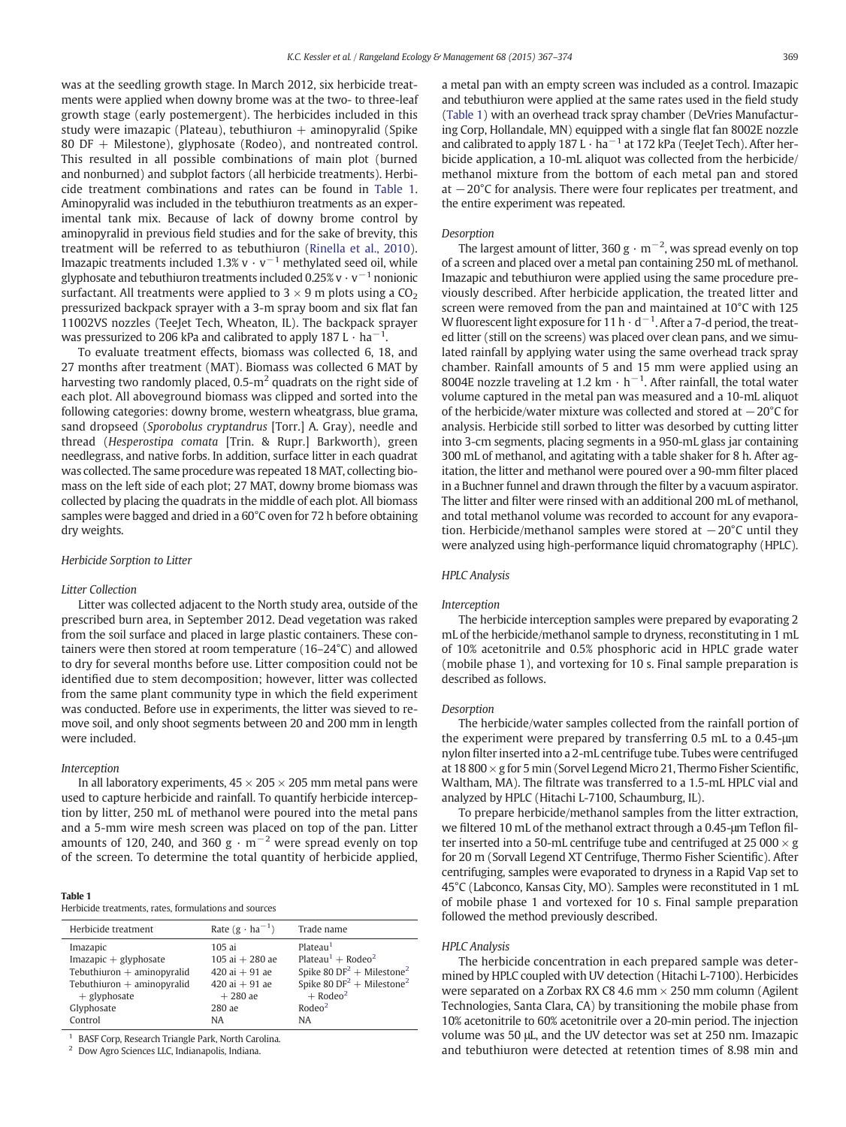was at the seedling growth stage. In March 2012, six herbicide treatments were applied when downy brome was at the two- to three-leaf growth stage (early postemergent). The herbicides included in this study were imazapic (Plateau), tebuthiuron  $+$  aminopyralid (Spike 80 DF + Milestone), glyphosate (Rodeo), and nontreated control. This resulted in all possible combinations of main plot (burned and nonburned) and subplot factors (all herbicide treatments). Herbicide treatment combinations and rates can be found in Table 1. Aminopyralid was included in the tebuthiuron treatments as an experimental tank mix. Because of lack of downy brome control by aminopyralid in previous field studies and for the sake of brevity, this treatment will be referred to as tebuthiuron [\(Rinella et al., 2010\)](#page-7-0). Imazapic treatments included 1.3% v  $\cdot$  v<sup>-1</sup> methylated seed oil, while glyphosate and tebuthiuron treatments included  $0.25\%$  v · v<sup>-1</sup> nonionic surfactant. All treatments were applied to  $3 \times 9$  m plots using a  $CO<sub>2</sub>$ pressurized backpack sprayer with a 3-m spray boom and six flat fan 11002VS nozzles (TeeJet Tech, Wheaton, IL). The backpack sprayer was pressurized to 206 kPa and calibrated to apply 187 L  $\cdot$  ha<sup> $-$ </sup> .

To evaluate treatment effects, biomass was collected 6, 18, and 27 months after treatment (MAT). Biomass was collected 6 MAT by harvesting two randomly placed,  $0.5\text{-m}^2$  quadrats on the right side of each plot. All aboveground biomass was clipped and sorted into the following categories: downy brome, western wheatgrass, blue grama, sand dropseed (Sporobolus cryptandrus [Torr.] A. Gray), needle and thread (Hesperostipa comata [Trin. & Rupr.] Barkworth), green needlegrass, and native forbs. In addition, surface litter in each quadrat was collected. The same procedure was repeated 18 MAT, collecting biomass on the left side of each plot; 27 MAT, downy brome biomass was collected by placing the quadrats in the middle of each plot. All biomass samples were bagged and dried in a 60°C oven for 72 h before obtaining dry weights.

#### Herbicide Sorption to Litter

#### Litter Collection

Litter was collected adjacent to the North study area, outside of the prescribed burn area, in September 2012. Dead vegetation was raked from the soil surface and placed in large plastic containers. These containers were then stored at room temperature (16–24°C) and allowed to dry for several months before use. Litter composition could not be identified due to stem decomposition; however, litter was collected from the same plant community type in which the field experiment was conducted. Before use in experiments, the litter was sieved to remove soil, and only shoot segments between 20 and 200 mm in length were included.

#### Interception

In all laboratory experiments,  $45 \times 205 \times 205$  mm metal pans were used to capture herbicide and rainfall. To quantify herbicide interception by litter, 250 mL of methanol were poured into the metal pans and a 5-mm wire mesh screen was placed on top of the pan. Litter amounts of 120, 240, and 360  $g \cdot m^{-2}$  were spread evenly on top of the screen. To determine the total quantity of herbicide applied,

#### Table 1

Herbicide treatments, rates, formulations and sources

| Herbicide treatment          | Rate $(g \cdot ha^{-1})$ | Trade name                                        |
|------------------------------|--------------------------|---------------------------------------------------|
| Imazapic                     | 105ai                    | Plateau <sup>1</sup>                              |
| $Imazapic + glyphosate$      | $105$ ai $+ 280$ ae      | Plateau <sup>1</sup> + Rodeo <sup>2</sup>         |
| Tebuthiuron $+$ aminopyralid | $420$ ai + 91 ae         | Spike 80 DF <sup>2</sup> + Milestone <sup>2</sup> |
| Tebuthiuron $+$ aminopyralid | $420$ ai + 91 ae         | Spike 80 $DF^2$ + Milestone <sup>2</sup>          |
| $+$ glyphosate               | $+280$ ae                | $+$ Rodeo <sup>2</sup>                            |
| Glyphosate                   | 280 ae                   | Rodeo <sup>2</sup>                                |
| Control                      | <b>NA</b>                | <b>NA</b>                                         |

BASF Corp, Research Triangle Park, North Carolina.

<sup>2</sup> Dow Agro Sciences LLC, Indianapolis, Indiana.

a metal pan with an empty screen was included as a control. Imazapic and tebuthiuron were applied at the same rates used in the field study (Table 1) with an overhead track spray chamber (DeVries Manufacturing Corp, Hollandale, MN) equipped with a single flat fan 8002E nozzle and calibrated to apply 187 L · ha<sup> $-1$ </sup> at 172 kPa (TeeJet Tech). After herbicide application, a 10-mL aliquot was collected from the herbicide/ methanol mixture from the bottom of each metal pan and stored at −20°C for analysis. There were four replicates per treatment, and the entire experiment was repeated.

#### Desorption

The largest amount of litter, 360 g  $\cdot$  m<sup>-2</sup>, was spread evenly on top of a screen and placed over a metal pan containing 250 mL of methanol. Imazapic and tebuthiuron were applied using the same procedure previously described. After herbicide application, the treated litter and screen were removed from the pan and maintained at 10°C with 125 W fluorescent light exposure for 11 h  $\cdot$  d<sup>-1</sup>. After a 7-d period, the treated litter (still on the screens) was placed over clean pans, and we simulated rainfall by applying water using the same overhead track spray chamber. Rainfall amounts of 5 and 15 mm were applied using an 8004E nozzle traveling at 1.2 km  $\cdot$  h<sup>-1</sup>. After rainfall, the total water volume captured in the metal pan was measured and a 10-mL aliquot of the herbicide/water mixture was collected and stored at  $-20^{\circ}$ C for analysis. Herbicide still sorbed to litter was desorbed by cutting litter into 3-cm segments, placing segments in a 950-mL glass jar containing 300 mL of methanol, and agitating with a table shaker for 8 h. After agitation, the litter and methanol were poured over a 90-mm filter placed in a Buchner funnel and drawn through the filter by a vacuum aspirator. The litter and filter were rinsed with an additional 200 mL of methanol, and total methanol volume was recorded to account for any evaporation. Herbicide/methanol samples were stored at  $-20^{\circ}$ C until they were analyzed using high-performance liquid chromatography (HPLC).

### HPLC Analysis

#### Interception

The herbicide interception samples were prepared by evaporating 2 mL of the herbicide/methanol sample to dryness, reconstituting in 1 mL of 10% acetonitrile and 0.5% phosphoric acid in HPLC grade water (mobile phase 1), and vortexing for 10 s. Final sample preparation is described as follows.

#### Desorption

The herbicide/water samples collected from the rainfall portion of the experiment were prepared by transferring 0.5 mL to a 0.45-μm nylon filter inserted into a 2-mL centrifuge tube. Tubes were centrifuged at 18 800  $\times$  g for 5 min (Sorvel Legend Micro 21, Thermo Fisher Scientific, Waltham, MA). The filtrate was transferred to a 1.5-mL HPLC vial and analyzed by HPLC (Hitachi L-7100, Schaumburg, IL).

To prepare herbicide/methanol samples from the litter extraction, we filtered 10 mL of the methanol extract through a 0.45-μm Teflon filter inserted into a 50-mL centrifuge tube and centrifuged at 25 000  $\times$  g for 20 m (Sorvall Legend XT Centrifuge, Thermo Fisher Scientific). After centrifuging, samples were evaporated to dryness in a Rapid Vap set to 45°C (Labconco, Kansas City, MO). Samples were reconstituted in 1 mL of mobile phase 1 and vortexed for 10 s. Final sample preparation followed the method previously described.

#### HPLC Analysis

The herbicide concentration in each prepared sample was determined by HPLC coupled with UV detection (Hitachi L-7100). Herbicides were separated on a Zorbax RX C8 4.6 mm  $\times$  250 mm column (Agilent Technologies, Santa Clara, CA) by transitioning the mobile phase from 10% acetonitrile to 60% acetonitrile over a 20-min period. The injection volume was 50 μL, and the UV detector was set at 250 nm. Imazapic and tebuthiuron were detected at retention times of 8.98 min and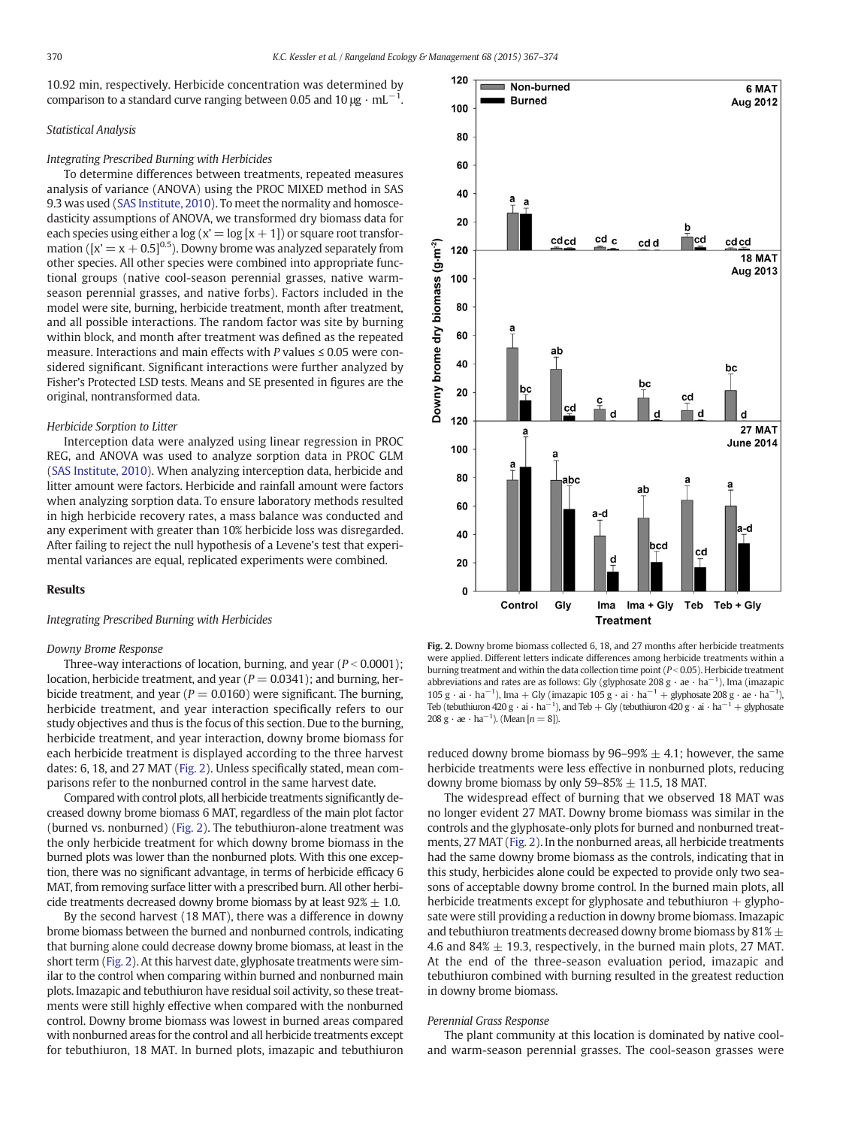<span id="page-3-0"></span>10.92 min, respectively. Herbicide concentration was determined by comparison to a standard curve ranging between 0.05 and 10  $\mu\text{g}\cdot\text{mL}^{-1}$ .

#### Statistical Analysis

#### Integrating Prescribed Burning with Herbicides

To determine differences between treatments, repeated measures analysis of variance (ANOVA) using the PROC MIXED method in SAS 9.3 was used ([SAS Institute, 2010](#page-7-0)). To meet the normality and homoscedasticity assumptions of ANOVA, we transformed dry biomass data for each species using either a  $\log(x' = \log(x + 1))$  or square root transformation ( $[x = x + 0.5]^{0.5}$ ). Downy brome was analyzed separately from other species. All other species were combined into appropriate functional groups (native cool-season perennial grasses, native warmseason perennial grasses, and native forbs). Factors included in the model were site, burning, herbicide treatment, month after treatment, and all possible interactions. The random factor was site by burning within block, and month after treatment was defined as the repeated measure. Interactions and main effects with P values  $\leq 0.05$  were considered significant. Significant interactions were further analyzed by Fisher's Protected LSD tests. Means and SE presented in figures are the original, nontransformed data.

#### Herbicide Sorption to Litter

Interception data were analyzed using linear regression in PROC REG, and ANOVA was used to analyze sorption data in PROC GLM ([SAS Institute, 2010](#page-7-0)). When analyzing interception data, herbicide and litter amount were factors. Herbicide and rainfall amount were factors when analyzing sorption data. To ensure laboratory methods resulted in high herbicide recovery rates, a mass balance was conducted and any experiment with greater than 10% herbicide loss was disregarded. After failing to reject the null hypothesis of a Levene's test that experimental variances are equal, replicated experiments were combined.

#### Results

#### Integrating Prescribed Burning with Herbicides

#### Downy Brome Response

Three-way interactions of location, burning, and year ( $P < 0.0001$ ); location, herbicide treatment, and year ( $P = 0.0341$ ); and burning, herbicide treatment, and year ( $P = 0.0160$ ) were significant. The burning, herbicide treatment, and year interaction specifically refers to our study objectives and thus is the focus of this section. Due to the burning, herbicide treatment, and year interaction, downy brome biomass for each herbicide treatment is displayed according to the three harvest dates: 6, 18, and 27 MAT (Fig. 2). Unless specifically stated, mean comparisons refer to the nonburned control in the same harvest date.

Compared with control plots, all herbicide treatments significantly decreased downy brome biomass 6 MAT, regardless of the main plot factor (burned vs. nonburned) (Fig. 2). The tebuthiuron-alone treatment was the only herbicide treatment for which downy brome biomass in the burned plots was lower than the nonburned plots. With this one exception, there was no significant advantage, in terms of herbicide efficacy 6 MAT, from removing surface litter with a prescribed burn. All other herbicide treatments decreased downy brome biomass by at least  $92\% \pm 1.0$ .

By the second harvest (18 MAT), there was a difference in downy brome biomass between the burned and nonburned controls, indicating that burning alone could decrease downy brome biomass, at least in the short term (Fig. 2). At this harvest date, glyphosate treatments were similar to the control when comparing within burned and nonburned main plots. Imazapic and tebuthiuron have residual soil activity, so these treatments were still highly effective when compared with the nonburned control. Downy brome biomass was lowest in burned areas compared with nonburned areas for the control and all herbicide treatments except for tebuthiuron, 18 MAT. In burned plots, imazapic and tebuthiuron



Fig. 2. Downy brome biomass collected 6, 18, and 27 months after herbicide treatments were applied. Different letters indicate differences among herbicide treatments within a burning treatment and within the data collection time point  $(P < 0.05)$ . Herbicide treatment abbreviations and rates are as follows: Gly (glyphosate 208 g  $\cdot$  ae  $\cdot$  ha<sup>-1</sup>), Ima (imazapic 105 g · ai · ha<sup>-1</sup>), Ima + Gly (imazapic 105 g · ai · ha<sup>-1</sup> + glyphosate 208 g · ae · ha<sup>-1</sup>), Teb (tebuthiuron 420  $g \cdot ai \cdot ha^{-1}$ ), and Teb + Gly (tebuthiuron 420  $g \cdot ai \cdot ha^{-1} + g$ lyphosate 208 g · ae · ha<sup>-1</sup>). (Mean [ $n = 8$ ]).

reduced downy brome biomass by  $96-99\% \pm 4.1$ ; however, the same herbicide treatments were less effective in nonburned plots, reducing downy brome biomass by only 59–85%  $\pm$  11.5, 18 MAT.

The widespread effect of burning that we observed 18 MAT was no longer evident 27 MAT. Downy brome biomass was similar in the controls and the glyphosate-only plots for burned and nonburned treatments, 27 MAT (Fig. 2). In the nonburned areas, all herbicide treatments had the same downy brome biomass as the controls, indicating that in this study, herbicides alone could be expected to provide only two seasons of acceptable downy brome control. In the burned main plots, all herbicide treatments except for glyphosate and tebuthiuron  $+$  glyphosate were still providing a reduction in downy brome biomass. Imazapic and tebuthiuron treatments decreased downy brome biomass by  $81\% \pm$ 4.6 and 84%  $\pm$  19.3, respectively, in the burned main plots, 27 MAT. At the end of the three-season evaluation period, imazapic and tebuthiuron combined with burning resulted in the greatest reduction in downy brome biomass.

#### Perennial Grass Response

The plant community at this location is dominated by native cooland warm-season perennial grasses. The cool-season grasses were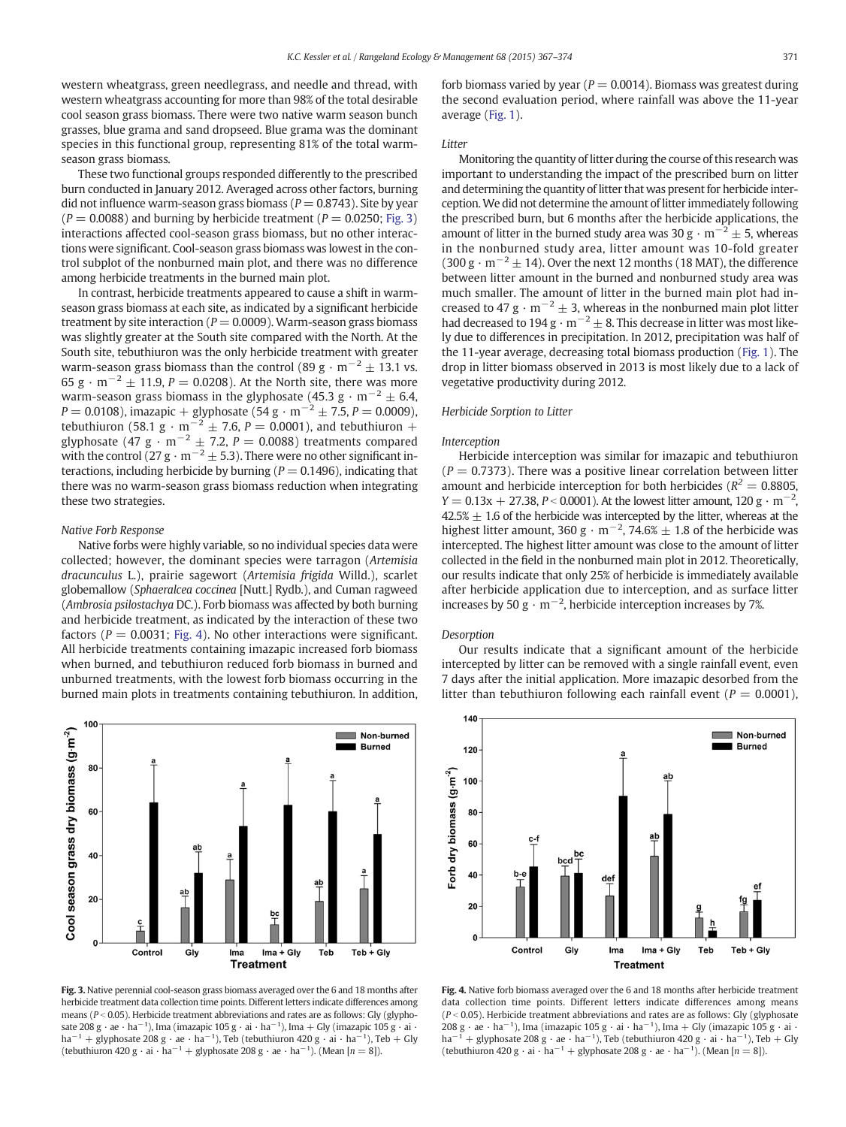<span id="page-4-0"></span>western wheatgrass, green needlegrass, and needle and thread, with western wheatgrass accounting for more than 98% of the total desirable cool season grass biomass. There were two native warm season bunch grasses, blue grama and sand dropseed. Blue grama was the dominant species in this functional group, representing 81% of the total warmseason grass biomass.

These two functional groups responded differently to the prescribed burn conducted in January 2012. Averaged across other factors, burning did not influence warm-season grass biomass ( $P = 0.8743$ ). Site by year  $(P = 0.0088)$  and burning by herbicide treatment  $(P = 0.0250;$  Fig. 3) interactions affected cool-season grass biomass, but no other interactions were significant. Cool-season grass biomass was lowest in the control subplot of the nonburned main plot, and there was no difference among herbicide treatments in the burned main plot.

In contrast, herbicide treatments appeared to cause a shift in warmseason grass biomass at each site, as indicated by a significant herbicide treatment by site interaction ( $P = 0.0009$ ). Warm-season grass biomass was slightly greater at the South site compared with the North. At the South site, tebuthiuron was the only herbicide treatment with greater warm-season grass biomass than the control (89 g · m<sup>-2</sup>  $\pm$  13.1 vs. 65 g · m<sup>-2</sup>  $\pm$  11.9, P = 0.0208). At the North site, there was more warm-season grass biomass in the glyphosate (45.3 g  $\cdot$  m<sup>-2</sup>  $\pm$  6.4,  $P = 0.0108$ ), imazapic + glyphosate (54 g · m<sup>-2</sup> ± 7.5, P = 0.0009), tebuthiuron (58.1 g · m<sup>-2</sup>  $\pm$  7.6, P = 0.0001), and tebuthiuron + glyphosate (47 g · m<sup>-2</sup>  $\pm$  7.2, P = 0.0088) treatments compared with the control (27 g · m<sup>-2</sup>  $\pm$  5.3). There were no other significant interactions, including herbicide by burning ( $P = 0.1496$ ), indicating that there was no warm-season grass biomass reduction when integrating these two strategies.

### Native Forb Response

Native forbs were highly variable, so no individual species data were collected; however, the dominant species were tarragon (Artemisia dracunculus L.), prairie sagewort (Artemisia frigida Willd.), scarlet globemallow (Sphaeralcea coccinea [Nutt.] Rydb.), and Cuman ragweed (Ambrosia psilostachya DC.). Forb biomass was affected by both burning and herbicide treatment, as indicated by the interaction of these two factors ( $P = 0.0031$ ; Fig. 4). No other interactions were significant. All herbicide treatments containing imazapic increased forb biomass when burned, and tebuthiuron reduced forb biomass in burned and unburned treatments, with the lowest forb biomass occurring in the burned main plots in treatments containing tebuthiuron. In addition,



Fig. 3. Native perennial cool-season grass biomass averaged over the 6 and 18 months after herbicide treatment data collection time points. Different letters indicate differences among means ( $P < 0.05$ ). Herbicide treatment abbreviations and rates are as follows: Gly (glyphosate 208 g · ae · ha<sup>-1</sup>), Ima (imazapic 105 g · ai · ha<sup>-1</sup>), Ima + Gly (imazapic 105 g · ai · ha<sup>-1</sup> + glyphosate 208 g · ae · ha<sup>-1</sup>), Teb (tebuthiuron 420 g · ai · ha<sup>-1</sup>), Teb + Gly<br>(tebuthiuron 420 g · ai · ha<sup>-1</sup> + glyphosate 208 g · ae · ha<sup>-1</sup>). (Mean [*n* = 8]).

forb biomass varied by year ( $P = 0.0014$ ). Biomass was greatest during the second evaluation period, where rainfall was above the 11-year average [\(Fig. 1\)](#page-1-0).

#### Litter

Monitoring the quantity of litter during the course of this research was important to understanding the impact of the prescribed burn on litter and determining the quantity of litter that was present for herbicide interception.We did not determine the amount of litter immediately following the prescribed burn, but 6 months after the herbicide applications, the amount of litter in the burned study area was 30 g ·  $m^{-2} \pm 5$ , whereas in the nonburned study area, litter amount was 10-fold greater (300 g ·  $m^{-2}$   $\pm$  14). Over the next 12 months (18 MAT), the difference between litter amount in the burned and nonburned study area was much smaller. The amount of litter in the burned main plot had increased to 47 g  $\cdot$  m<sup>-2</sup>  $\pm$  3, whereas in the nonburned main plot litter had decreased to  $194 \text{ g} \cdot \text{m}^{-2} \pm 8$ . This decrease in litter was most likely due to differences in precipitation. In 2012, precipitation was half of the 11-year average, decreasing total biomass production ([Fig. 1\)](#page-1-0). The drop in litter biomass observed in 2013 is most likely due to a lack of vegetative productivity during 2012.

#### Herbicide Sorption to Litter

#### Interception

Herbicide interception was similar for imazapic and tebuthiuron  $(P = 0.7373)$ . There was a positive linear correlation between litter amount and herbicide interception for both herbicides ( $R^2 = 0.8805$ ,  $Y = 0.13x + 27.38$ ,  $P < 0.0001$ ). At the lowest litter amount, 120 g · m<sup>-2</sup>,  $42.5\% \pm 1.6$  of the herbicide was intercepted by the litter, whereas at the highest litter amount, 360 g  $\cdot$  m<sup>-2</sup>, 74.6%  $\pm$  1.8 of the herbicide was intercepted. The highest litter amount was close to the amount of litter collected in the field in the nonburned main plot in 2012. Theoretically, our results indicate that only 25% of herbicide is immediately available after herbicide application due to interception, and as surface litter increases by 50  $\text{g} \cdot \text{m}^{-2}$ , herbicide interception increases by 7%.

#### Desorption

Our results indicate that a significant amount of the herbicide intercepted by litter can be removed with a single rainfall event, even 7 days after the initial application. More imazapic desorbed from the litter than tebuthiuron following each rainfall event ( $P = 0.0001$ ),



Fig. 4. Native forb biomass averaged over the 6 and 18 months after herbicide treatment data collection time points. Different letters indicate differences among means  $(P < 0.05)$ . Herbicide treatment abbreviations and rates are as follows: Gly (glyphosate 208 g · ae · ha<sup>-1</sup>), Ima (imazapic 105 g · ai · ha<sup>-1</sup>), Ima + Gly (imazapic 105 g · ai · ha<sup>-1</sup> + glyphosate 208 g · ae · ha<sup>-1</sup>), Teb (tebuthiuron 420 g · ai · ha<sup>-1</sup>), Teb + Gly (tebuthiuron 420 g · ai · ha<sup>-1</sup> + glyphosate 208 g · ae · ha<sup>-1</sup>). (Mean [*n* = 8]).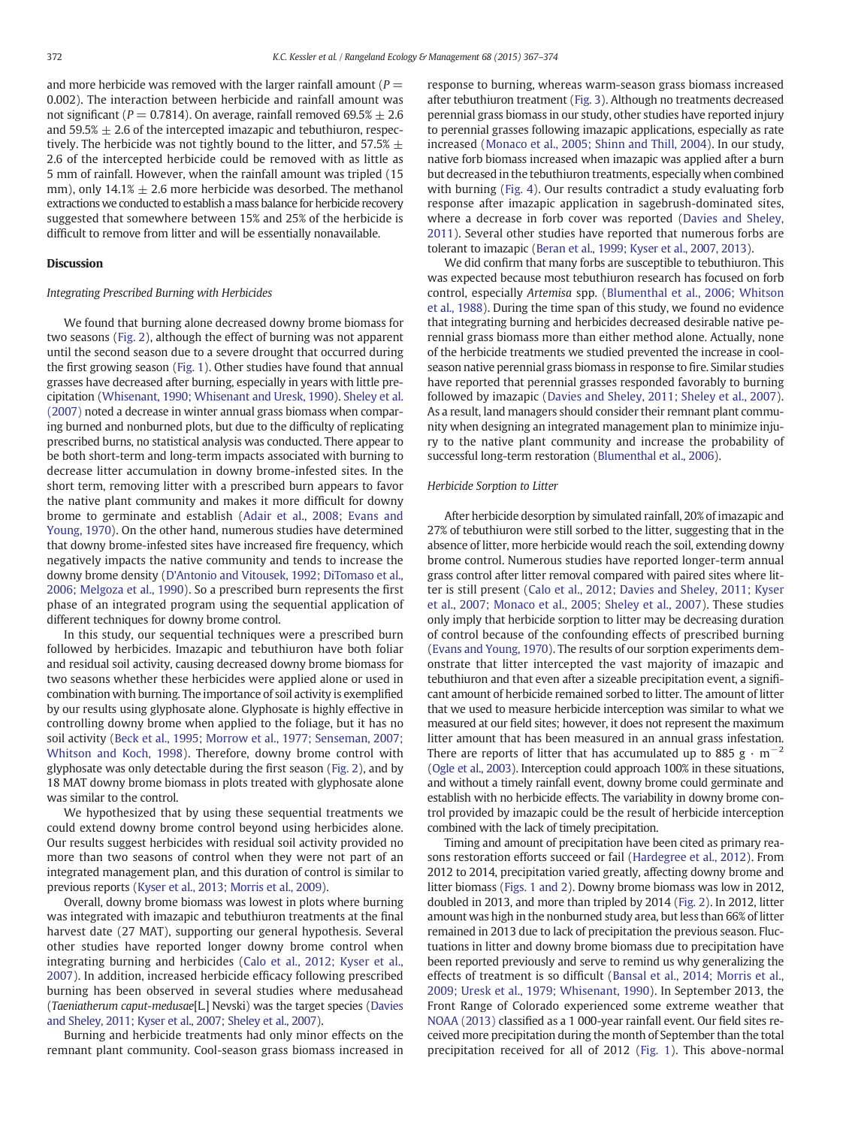and more herbicide was removed with the larger rainfall amount ( $P =$ 0.002). The interaction between herbicide and rainfall amount was not significant ( $P = 0.7814$ ). On average, rainfall removed 69.5%  $\pm 2.6$ and 59.5%  $\pm$  2.6 of the intercepted imazapic and tebuthiuron, respectively. The herbicide was not tightly bound to the litter, and 57.5%  $\pm$ 2.6 of the intercepted herbicide could be removed with as little as 5 mm of rainfall. However, when the rainfall amount was tripled (15 mm), only  $14.1\% \pm 2.6$  more herbicide was desorbed. The methanol extractions we conducted to establish a mass balance for herbicide recovery suggested that somewhere between 15% and 25% of the herbicide is difficult to remove from litter and will be essentially nonavailable.

#### **Discussion**

#### Integrating Prescribed Burning with Herbicides

We found that burning alone decreased downy brome biomass for two seasons [\(Fig. 2](#page-3-0)), although the effect of burning was not apparent until the second season due to a severe drought that occurred during the first growing season ([Fig. 1\)](#page-1-0). Other studies have found that annual grasses have decreased after burning, especially in years with little precipitation [\(Whisenant, 1990; Whisenant and Uresk, 1990\)](#page-7-0). [Sheley et al.](#page-7-0) [\(2007\)](#page-7-0) noted a decrease in winter annual grass biomass when comparing burned and nonburned plots, but due to the difficulty of replicating prescribed burns, no statistical analysis was conducted. There appear to be both short-term and long-term impacts associated with burning to decrease litter accumulation in downy brome-infested sites. In the short term, removing litter with a prescribed burn appears to favor the native plant community and makes it more difficult for downy brome to germinate and establish [\(Adair et al., 2008; Evans and](#page-6-0) [Young, 1970](#page-6-0)). On the other hand, numerous studies have determined that downy brome-infested sites have increased fire frequency, which negatively impacts the native community and tends to increase the downy brome density [\(D'Antonio and Vitousek, 1992; DiTomaso et al.,](#page-6-0) [2006; Melgoza et al., 1990](#page-6-0)). So a prescribed burn represents the first phase of an integrated program using the sequential application of different techniques for downy brome control.

In this study, our sequential techniques were a prescribed burn followed by herbicides. Imazapic and tebuthiuron have both foliar and residual soil activity, causing decreased downy brome biomass for two seasons whether these herbicides were applied alone or used in combination with burning. The importance of soil activity is exemplified by our results using glyphosate alone. Glyphosate is highly effective in controlling downy brome when applied to the foliage, but it has no soil activity ([Beck et al., 1995; Morrow et al., 1977; Senseman, 2007;](#page-6-0) [Whitson and Koch, 1998\)](#page-6-0). Therefore, downy brome control with glyphosate was only detectable during the first season ([Fig. 2](#page-3-0)), and by 18 MAT downy brome biomass in plots treated with glyphosate alone was similar to the control.

We hypothesized that by using these sequential treatments we could extend downy brome control beyond using herbicides alone. Our results suggest herbicides with residual soil activity provided no more than two seasons of control when they were not part of an integrated management plan, and this duration of control is similar to previous reports ([Kyser et al., 2013; Morris et al., 2009](#page-6-0)).

Overall, downy brome biomass was lowest in plots where burning was integrated with imazapic and tebuthiuron treatments at the final harvest date (27 MAT), supporting our general hypothesis. Several other studies have reported longer downy brome control when integrating burning and herbicides ([Calo et al., 2012; Kyser et al.,](#page-6-0) [2007\)](#page-6-0). In addition, increased herbicide efficacy following prescribed burning has been observed in several studies where medusahead (Taeniatherum caput-medusae[L.] Nevski) was the target species [\(Davies](#page-6-0) [and Sheley, 2011; Kyser et al., 2007; Sheley et al., 2007\)](#page-6-0).

Burning and herbicide treatments had only minor effects on the remnant plant community. Cool-season grass biomass increased in response to burning, whereas warm-season grass biomass increased after tebuthiuron treatment ([Fig. 3](#page-4-0)). Although no treatments decreased perennial grass biomass in our study, other studies have reported injury to perennial grasses following imazapic applications, especially as rate increased [\(Monaco et al., 2005; Shinn and Thill, 2004\)](#page-6-0). In our study, native forb biomass increased when imazapic was applied after a burn but decreased in the tebuthiuron treatments, especially when combined with burning ([Fig. 4\)](#page-4-0). Our results contradict a study evaluating forb response after imazapic application in sagebrush-dominated sites, where a decrease in forb cover was reported [\(Davies and Sheley,](#page-6-0) [2011\)](#page-6-0). Several other studies have reported that numerous forbs are tolerant to imazapic ([Beran et al., 1999; Kyser et al., 2007, 2013\)](#page-6-0).

We did confirm that many forbs are susceptible to tebuthiuron. This was expected because most tebuthiuron research has focused on forb control, especially Artemisa spp. [\(Blumenthal et al., 2006; Whitson](#page-6-0) [et al., 1988\)](#page-6-0). During the time span of this study, we found no evidence that integrating burning and herbicides decreased desirable native perennial grass biomass more than either method alone. Actually, none of the herbicide treatments we studied prevented the increase in coolseason native perennial grass biomass in response to fire. Similar studies have reported that perennial grasses responded favorably to burning followed by imazapic ([Davies and Sheley, 2011; Sheley et al., 2007\)](#page-6-0). As a result, land managers should consider their remnant plant community when designing an integrated management plan to minimize injury to the native plant community and increase the probability of successful long-term restoration [\(Blumenthal et al., 2006\)](#page-6-0).

#### Herbicide Sorption to Litter

After herbicide desorption by simulated rainfall, 20% of imazapic and 27% of tebuthiuron were still sorbed to the litter, suggesting that in the absence of litter, more herbicide would reach the soil, extending downy brome control. Numerous studies have reported longer-term annual grass control after litter removal compared with paired sites where litter is still present [\(Calo et al., 2012; Davies and Sheley, 2011; Kyser](#page-6-0) [et al., 2007; Monaco et al., 2005; Sheley et al., 2007](#page-6-0)). These studies only imply that herbicide sorption to litter may be decreasing duration of control because of the confounding effects of prescribed burning [\(Evans and Young, 1970\)](#page-6-0). The results of our sorption experiments demonstrate that litter intercepted the vast majority of imazapic and tebuthiuron and that even after a sizeable precipitation event, a significant amount of herbicide remained sorbed to litter. The amount of litter that we used to measure herbicide interception was similar to what we measured at our field sites; however, it does not represent the maximum litter amount that has been measured in an annual grass infestation. There are reports of litter that has accumulated up to 885 g  $\cdot$  m<sup>-2</sup> [\(Ogle et al., 2003](#page-7-0)). Interception could approach 100% in these situations, and without a timely rainfall event, downy brome could germinate and establish with no herbicide effects. The variability in downy brome control provided by imazapic could be the result of herbicide interception combined with the lack of timely precipitation.

Timing and amount of precipitation have been cited as primary reasons restoration efforts succeed or fail ([Hardegree et al., 2012\)](#page-6-0). From 2012 to 2014, precipitation varied greatly, affecting downy brome and litter biomass [\(Figs. 1 and 2\)](#page-1-0). Downy brome biomass was low in 2012, doubled in 2013, and more than tripled by 2014 [\(Fig. 2\)](#page-3-0). In 2012, litter amount was high in the nonburned study area, but less than 66% of litter remained in 2013 due to lack of precipitation the previous season. Fluctuations in litter and downy brome biomass due to precipitation have been reported previously and serve to remind us why generalizing the effects of treatment is so difficult ([Bansal et al., 2014; Morris et al.,](#page-6-0) [2009; Uresk et al., 1979; Whisenant, 1990](#page-6-0)). In September 2013, the Front Range of Colorado experienced some extreme weather that [NOAA \(2013\)](#page-7-0) classified as a 1 000-year rainfall event. Our field sites received more precipitation during the month of September than the total precipitation received for all of 2012 [\(Fig. 1](#page-1-0)). This above-normal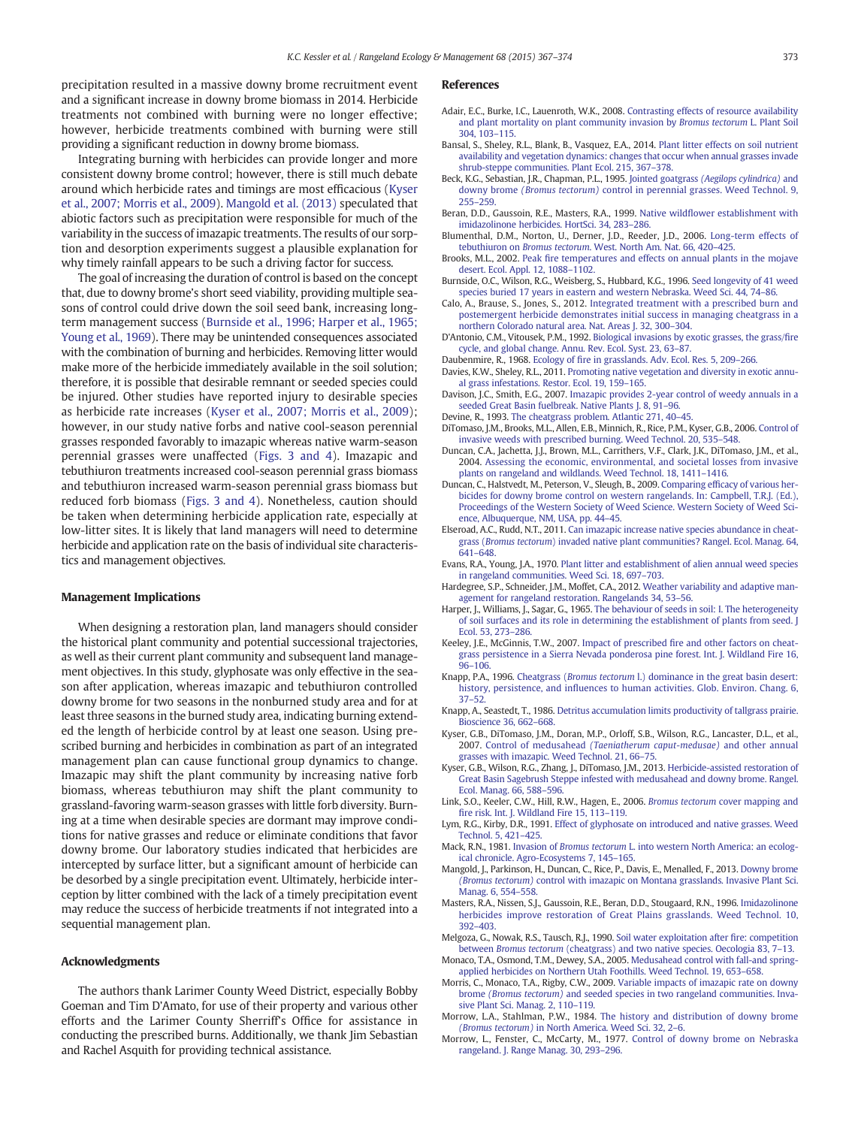<span id="page-6-0"></span>precipitation resulted in a massive downy brome recruitment event and a significant increase in downy brome biomass in 2014. Herbicide treatments not combined with burning were no longer effective; however, herbicide treatments combined with burning were still providing a significant reduction in downy brome biomass.

Integrating burning with herbicides can provide longer and more consistent downy brome control; however, there is still much debate around which herbicide rates and timings are most efficacious (Kyser et al., 2007; Morris et al., 2009). Mangold et al. (2013) speculated that abiotic factors such as precipitation were responsible for much of the variability in the success of imazapic treatments. The results of our sorption and desorption experiments suggest a plausible explanation for why timely rainfall appears to be such a driving factor for success.

The goal of increasing the duration of control is based on the concept that, due to downy brome's short seed viability, providing multiple seasons of control could drive down the soil seed bank, increasing longterm management success (Burnside et al., 1996; Harper et al., 1965; Young et al., 1969). There may be unintended consequences associated with the combination of burning and herbicides. Removing litter would make more of the herbicide immediately available in the soil solution; therefore, it is possible that desirable remnant or seeded species could be injured. Other studies have reported injury to desirable species as herbicide rate increases (Kyser et al., 2007; Morris et al., 2009); however, in our study native forbs and native cool-season perennial grasses responded favorably to imazapic whereas native warm-season perennial grasses were unaffected [\(Figs. 3 and 4\)](#page-4-0). Imazapic and tebuthiuron treatments increased cool-season perennial grass biomass and tebuthiuron increased warm-season perennial grass biomass but reduced forb biomass [\(Figs. 3 and 4\)](#page-4-0). Nonetheless, caution should be taken when determining herbicide application rate, especially at low-litter sites. It is likely that land managers will need to determine herbicide and application rate on the basis of individual site characteristics and management objectives.

#### Management Implications

When designing a restoration plan, land managers should consider the historical plant community and potential successional trajectories, as well as their current plant community and subsequent land management objectives. In this study, glyphosate was only effective in the season after application, whereas imazapic and tebuthiuron controlled downy brome for two seasons in the nonburned study area and for at least three seasons in the burned study area, indicating burning extended the length of herbicide control by at least one season. Using prescribed burning and herbicides in combination as part of an integrated management plan can cause functional group dynamics to change. Imazapic may shift the plant community by increasing native forb biomass, whereas tebuthiuron may shift the plant community to grassland-favoring warm-season grasses with little forb diversity. Burning at a time when desirable species are dormant may improve conditions for native grasses and reduce or eliminate conditions that favor downy brome. Our laboratory studies indicated that herbicides are intercepted by surface litter, but a significant amount of herbicide can be desorbed by a single precipitation event. Ultimately, herbicide interception by litter combined with the lack of a timely precipitation event may reduce the success of herbicide treatments if not integrated into a sequential management plan.

#### Acknowledgments

The authors thank Larimer County Weed District, especially Bobby Goeman and Tim D'Amato, for use of their property and various other efforts and the Larimer County Sherriff's Office for assistance in conducting the prescribed burns. Additionally, we thank Jim Sebastian and Rachel Asquith for providing technical assistance.

#### References

- Adair, E.C., Burke, I.C., Lauenroth, W.K., 2008. [Contrasting effects of resource availability](http://refhub.elsevier.com/S1550-7424(15)00082-2/rf0005) [and plant mortality on plant community invasion by](http://refhub.elsevier.com/S1550-7424(15)00082-2/rf0005) Bromus tectorum L. Plant Soil [304, 103](http://refhub.elsevier.com/S1550-7424(15)00082-2/rf0005)–115.
- Bansal, S., Sheley, R.L., Blank, B., Vasquez, E.A., 2014. [Plant litter effects on soil nutrient](http://refhub.elsevier.com/S1550-7424(15)00082-2/rf0010) [availability and vegetation dynamics: changes that occur when annual grasses invade](http://refhub.elsevier.com/S1550-7424(15)00082-2/rf0010) [shrub-steppe communities. Plant Ecol. 215, 367](http://refhub.elsevier.com/S1550-7424(15)00082-2/rf0010)–378.
- Beck, K.G., Sebastian, J.R., Chapman, P.L., 1995. Jointed goatgrass [\(Aegilops cylindrica\)](http://refhub.elsevier.com/S1550-7424(15)00082-2/rf0015) and downy brome (Bromus tectorum) [control in perennial grasses. Weed Technol. 9,](http://refhub.elsevier.com/S1550-7424(15)00082-2/rf0015) [255](http://refhub.elsevier.com/S1550-7424(15)00082-2/rf0015)–259.
- Beran, D.D., Gaussoin, R.E., Masters, R.A., 1999. Native wildfl[ower establishment with](http://refhub.elsevier.com/S1550-7424(15)00082-2/rf0020) [imidazolinone herbicides. HortSci. 34, 283](http://refhub.elsevier.com/S1550-7424(15)00082-2/rf0020)–286.
- Blumenthal, D.M., Norton, U., Derner, J.D., Reeder, J.D., 2006. [Long-term effects of](http://refhub.elsevier.com/S1550-7424(15)00082-2/rf0025) tebuthiuron on Bromus tectorum[. West. North Am. Nat. 66, 420](http://refhub.elsevier.com/S1550-7424(15)00082-2/rf0025)–425.
- Brooks, M.L., 2002. Peak fi[re temperatures and effects on annual plants in the mojave](http://refhub.elsevier.com/S1550-7424(15)00082-2/rf0030) [desert. Ecol. Appl. 12, 1088](http://refhub.elsevier.com/S1550-7424(15)00082-2/rf0030)–1102.
- Burnside, O.C., Wilson, R.G., Weisberg, S., Hubbard, K.G., 1996. [Seed longevity of 41 weed](http://refhub.elsevier.com/S1550-7424(15)00082-2/rf0035) [species buried 17 years in eastern and western Nebraska. Weed Sci. 44, 74](http://refhub.elsevier.com/S1550-7424(15)00082-2/rf0035)–86.
- Calo, A., Brause, S., Jones, S., 2012. [Integrated treatment with a prescribed burn and](http://refhub.elsevier.com/S1550-7424(15)00082-2/rf0040) [postemergent herbicide demonstrates initial success in managing cheatgrass in a](http://refhub.elsevier.com/S1550-7424(15)00082-2/rf0040) [northern Colorado natural area. Nat. Areas J. 32, 300](http://refhub.elsevier.com/S1550-7424(15)00082-2/rf0040)–304.
- D'Antonio, C.M., Vitousek, P.M., 1992. [Biological invasions by exotic grasses, the grass/](http://refhub.elsevier.com/S1550-7424(15)00082-2/rf0045)fire [cycle, and global change. Annu. Rev. Ecol. Syst. 23, 63](http://refhub.elsevier.com/S1550-7424(15)00082-2/rf0045)–87.
- Daubenmire, R., 1968. Ecology of fi[re in grasslands. Adv. Ecol. Res. 5, 209](http://refhub.elsevier.com/S1550-7424(15)00082-2/rf0050)–266.
- Davies, K.W., Sheley, R.L., 2011. [Promoting native vegetation and diversity in exotic annu](http://refhub.elsevier.com/S1550-7424(15)00082-2/rf0055)[al grass infestations. Restor. Ecol. 19, 159](http://refhub.elsevier.com/S1550-7424(15)00082-2/rf0055)–165.
- Davison, J.C., Smith, E.G., 2007. [Imazapic provides 2-year control of weedy annuals in a](http://refhub.elsevier.com/S1550-7424(15)00082-2/rf0060) [seeded Great Basin fuelbreak. Native Plants J. 8, 91](http://refhub.elsevier.com/S1550-7424(15)00082-2/rf0060)–96.
- Devine, R., 1993. [The cheatgrass problem. Atlantic 271, 40](http://refhub.elsevier.com/S1550-7424(15)00082-2/rf0065)–45. DiTomaso, J.M., Brooks, M.L., Allen, E.B., Minnich, R., Rice, P.M., Kyser, G.B., 2006. [Control of](http://refhub.elsevier.com/S1550-7424(15)00082-2/rf0070)
- [invasive weeds with prescribed burning. Weed Technol. 20, 535](http://refhub.elsevier.com/S1550-7424(15)00082-2/rf0070)–548. Duncan, C.A., Jachetta, J.J., Brown, M.L., Carrithers, V.F., Clark, J.K., DiTomaso, J.M., et al., 2004. [Assessing the economic, environmental, and societal losses from invasive](http://refhub.elsevier.com/S1550-7424(15)00082-2/rf0075)
- [plants on rangeland and wildlands. Weed Technol. 18, 1411](http://refhub.elsevier.com/S1550-7424(15)00082-2/rf0075)–1416. Duncan, C., Halstvedt, M., Peterson, V., Sleugh, B., 2009. Comparing effi[cacy of various her](http://refhub.elsevier.com/S1550-7424(15)00082-2/rf0080)[bicides for downy brome control on western rangelands. In: Campbell, T.R.J. \(Ed.\),](http://refhub.elsevier.com/S1550-7424(15)00082-2/rf0080) [Proceedings of the Western Society of Weed Science. Western Society of Weed Sci](http://refhub.elsevier.com/S1550-7424(15)00082-2/rf0080)[ence, Albuquerque, NM, USA, pp. 44](http://refhub.elsevier.com/S1550-7424(15)00082-2/rf0080)-45.
- Elseroad, A.C., Rudd, N.T., 2011. [Can imazapic increase native species abundance in cheat](http://refhub.elsevier.com/S1550-7424(15)00082-2/rf0085)grass (Bromus tectorum[\) invaded native plant communities? Rangel. Ecol. Manag. 64,](http://refhub.elsevier.com/S1550-7424(15)00082-2/rf0085) [641](http://refhub.elsevier.com/S1550-7424(15)00082-2/rf0085)–648.
- Evans, R.A., Young, J.A., 1970. [Plant litter and establishment of alien annual weed species](http://refhub.elsevier.com/S1550-7424(15)00082-2/rf0090) [in rangeland communities. Weed Sci. 18, 697](http://refhub.elsevier.com/S1550-7424(15)00082-2/rf0090)–703.
- Hardegree, S.P., Schneider, J.M., Moffet, C.A., 2012. [Weather variability and adaptive man](http://refhub.elsevier.com/S1550-7424(15)00082-2/rf0095)[agement for rangeland restoration. Rangelands 34, 53](http://refhub.elsevier.com/S1550-7424(15)00082-2/rf0095)–56.
- Harper, J., Williams, J., Sagar, G., 1965. [The behaviour of seeds in soil: I. The heterogeneity](http://refhub.elsevier.com/S1550-7424(15)00082-2/rf0100) [of soil surfaces and its role in determining the establishment of plants from seed. J](http://refhub.elsevier.com/S1550-7424(15)00082-2/rf0100) [Ecol. 53, 273](http://refhub.elsevier.com/S1550-7424(15)00082-2/rf0100)–286.
- Keeley, J.E., McGinnis, T.W., 2007. Impact of prescribed fi[re and other factors on cheat](http://refhub.elsevier.com/S1550-7424(15)00082-2/rf0105)[grass persistence in a Sierra Nevada ponderosa pine forest. Int. J. Wildland Fire 16,](http://refhub.elsevier.com/S1550-7424(15)00082-2/rf0105) 96–[106](http://refhub.elsevier.com/S1550-7424(15)00082-2/rf0105).
- Knapp, P.A., 1996. Cheatgrass (Bromus tectorum [l.\) dominance in the great basin desert:](http://refhub.elsevier.com/S1550-7424(15)00082-2/rf0110) history, persistence, and infl[uences to human activities. Glob. Environ. Chang. 6,](http://refhub.elsevier.com/S1550-7424(15)00082-2/rf0110) [37](http://refhub.elsevier.com/S1550-7424(15)00082-2/rf0110)–52.
- Knapp, A., Seastedt, T., 1986. [Detritus accumulation limits productivity of tallgrass prairie.](http://refhub.elsevier.com/S1550-7424(15)00082-2/rf0115) [Bioscience 36, 662](http://refhub.elsevier.com/S1550-7424(15)00082-2/rf0115)–668.
- Kyser, G.B., DiTomaso, J.M., Doran, M.P., Orloff, S.B., Wilson, R.G., Lancaster, D.L., et al., 2007. Control of medusahead [\(Taeniatherum caput-medusae\)](http://refhub.elsevier.com/S1550-7424(15)00082-2/rf0120) and other annual [grasses with imazapic. Weed Technol. 21, 66](http://refhub.elsevier.com/S1550-7424(15)00082-2/rf0120)–75.
- Kyser, G.B., Wilson, R.G., Zhang, J., DiTomaso, J.M., 2013. [Herbicide-assisted restoration of](http://refhub.elsevier.com/S1550-7424(15)00082-2/rf0125) [Great Basin Sagebrush Steppe infested with medusahead and downy brome. Rangel.](http://refhub.elsevier.com/S1550-7424(15)00082-2/rf0125) [Ecol. Manag. 66, 588](http://refhub.elsevier.com/S1550-7424(15)00082-2/rf0125)–596.
- Link, S.O., Keeler, C.W., Hill, R.W., Hagen, E., 2006. Bromus tectorum [cover mapping and](http://refhub.elsevier.com/S1550-7424(15)00082-2/rf0130) fi[re risk. Int. J. Wildland Fire 15, 113](http://refhub.elsevier.com/S1550-7424(15)00082-2/rf0130)–119.
- Lym, R.G., Kirby, D.R., 1991. [Effect of glyphosate on introduced and native grasses. Weed](http://refhub.elsevier.com/S1550-7424(15)00082-2/rf0135) [Technol. 5, 421](http://refhub.elsevier.com/S1550-7424(15)00082-2/rf0135)–425.
- Mack, R.N., 1981. Invasion of Bromus tectorum [L. into western North America: an ecolog](http://refhub.elsevier.com/S1550-7424(15)00082-2/rf0140)[ical chronicle. Agro-Ecosystems 7, 145](http://refhub.elsevier.com/S1550-7424(15)00082-2/rf0140)–165.
- Mangold, J., Parkinson, H., Duncan, C., Rice, P., Davis, E., Menalled, F., 2013. [Downy brome](http://refhub.elsevier.com/S1550-7424(15)00082-2/rf0145) (Bromus tectorum) [control with imazapic on Montana grasslands. Invasive Plant Sci.](http://refhub.elsevier.com/S1550-7424(15)00082-2/rf0145) [Manag. 6, 554](http://refhub.elsevier.com/S1550-7424(15)00082-2/rf0145)–558.
- Masters, R.A., Nissen, S.J., Gaussoin, R.E., Beran, D.D., Stougaard, R.N., 1996. [Imidazolinone](http://refhub.elsevier.com/S1550-7424(15)00082-2/rf0150) [herbicides improve restoration of Great Plains grasslands. Weed Technol. 10,](http://refhub.elsevier.com/S1550-7424(15)00082-2/rf0150) [392](http://refhub.elsevier.com/S1550-7424(15)00082-2/rf0150)–403.
- Melgoza, G., Nowak, R.S., Tausch, R.J., 1990. [Soil water exploitation after](http://refhub.elsevier.com/S1550-7424(15)00082-2/rf0155) fire: competition between Bromus tectorum [\(cheatgrass\) and two native species. Oecologia 83, 7](http://refhub.elsevier.com/S1550-7424(15)00082-2/rf0155)–13.
- Monaco, T.A., Osmond, T.M., Dewey, S.A., 2005. [Medusahead control with fall-and spring](http://refhub.elsevier.com/S1550-7424(15)00082-2/rf0160)[applied herbicides on Northern Utah Foothills. Weed Technol. 19, 653](http://refhub.elsevier.com/S1550-7424(15)00082-2/rf0160)–658.
- Morris, C., Monaco, T.A., Rigby, C.W., 2009. [Variable impacts of imazapic rate on downy](http://refhub.elsevier.com/S1550-7424(15)00082-2/rf0165) brome (Bromus tectorum) [and seeded species in two rangeland communities. Inva](http://refhub.elsevier.com/S1550-7424(15)00082-2/rf0165)[sive Plant Sci. Manag. 2, 110](http://refhub.elsevier.com/S1550-7424(15)00082-2/rf0165)–119.
- Morrow, L.A., Stahlman, P.W., 1984. [The history and distribution of downy brome](http://refhub.elsevier.com/S1550-7424(15)00082-2/rf0170) (Bromus tectorum) [in North America. Weed Sci. 32, 2](http://refhub.elsevier.com/S1550-7424(15)00082-2/rf0170)–6.
- Morrow, L., Fenster, C., McCarty, M., 1977. [Control of downy brome on Nebraska](http://refhub.elsevier.com/S1550-7424(15)00082-2/rf0175) [rangeland. J. Range Manag. 30, 293](http://refhub.elsevier.com/S1550-7424(15)00082-2/rf0175)–296.